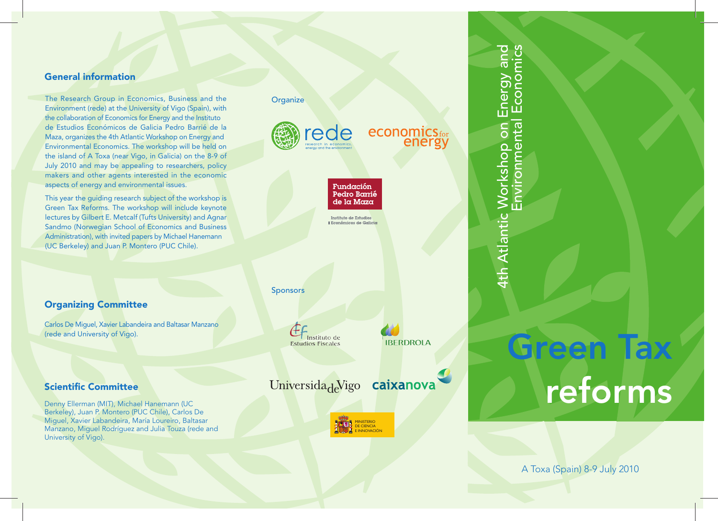### **General information**

The Research Group in Economics, Business and the Environment (rede) at the University of Vigo (Spain), with the collaboration of Economics for Energy and the Instituto de Estudios Económicos de Galicia Pedro Barrié de la Maza, organizes the 4th Atlantic Workshop on Energy and Environmental Economics. The workshop will be held on the island of A Toxa (near Vigo, in Galicia) on the 8-9 of July 2010 and may be appealing to researchers, policy makers and other agents interested in the economic aspects of energy and environmental issues.

This year the guiding research subject of the workshop is Green Tax Reforms. The workshop will include keynote lectures by Gilbert E. Metcalf (Tufts University) and Agnar Sandmo (Norwegian School of Economics and Business Administration), with invited papers by Michael Hanemann (UC Berkeley) and Juan P. Montero (PUC Chile).

## **Organizing Committee**

Carlos De Miguel, Xavier Labandeira and Baltasar Manzano (rede and University of Vigo).

#### **Scientific Committee**

Denny Ellerman (MIT), Michael Hanemann (UC Berkeley), Juan P. Montero (PUC Chile), Carlos De Miguel, Xavier Labandeira, María Loureiro, Baltasar Manzano, Miguel Rodríguez and Julia Touza (rede and University of Vigo).

# **Organize** ede economics<sub>for</sub><br>energy Fundación Pedro Barrié de la Maza Instituto de Estudios **Exercía de Galicia** Sponsors Instituto de **IBERDROLA Estudios Fiscales** Universida<sub>de</sub>Vigo caixanova MINISTERIO DE CIENCIA

E INNOVACIÓN



# **Green Tax reforms**

A Toxa (Spain) 8-9 July 2010